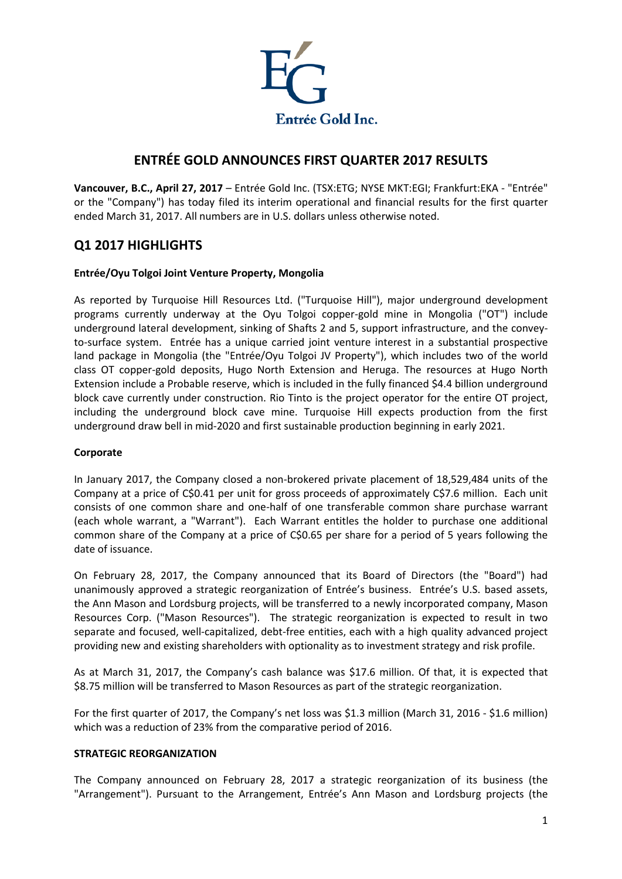

# **ENTRÉE GOLD ANNOUNCES FIRST QUARTER 2017 RESULTS**

**Vancouver, B.C., April 27, 2017** – Entrée Gold Inc. (TSX:ETG; NYSE MKT:EGI; Frankfurt:EKA - "Entrée" or the "Company") has today filed its interim operational and financial results for the first quarter ended March 31, 2017. All numbers are in U.S. dollars unless otherwise noted.

# **Q1 2017 HIGHLIGHTS**

## **Entrée/Oyu Tolgoi Joint Venture Property, Mongolia**

As reported by Turquoise Hill Resources Ltd. ("Turquoise Hill"), major underground development programs currently underway at the Oyu Tolgoi copper-gold mine in Mongolia ("OT") include underground lateral development, sinking of Shafts 2 and 5, support infrastructure, and the conveyto-surface system. Entrée has a unique carried joint venture interest in a substantial prospective land package in Mongolia (the "Entrée/Oyu Tolgoi JV Property"), which includes two of the world class OT copper-gold deposits, Hugo North Extension and Heruga. The resources at Hugo North Extension include a Probable reserve, which is included in the fully financed \$4.4 billion underground block cave currently under construction. Rio Tinto is the project operator for the entire OT project, including the underground block cave mine. Turquoise Hill expects production from the first underground draw bell in mid-2020 and first sustainable production beginning in early 2021.

#### **Corporate**

In January 2017, the Company closed a non-brokered private placement of 18,529,484 units of the Company at a price of C\$0.41 per unit for gross proceeds of approximately C\$7.6 million. Each unit consists of one common share and one-half of one transferable common share purchase warrant (each whole warrant, a "Warrant"). Each Warrant entitles the holder to purchase one additional common share of the Company at a price of C\$0.65 per share for a period of 5 years following the date of issuance.

On February 28, 2017, the Company announced that its Board of Directors (the "Board") had unanimously approved a strategic reorganization of Entrée's business. Entrée's U.S. based assets, the Ann Mason and Lordsburg projects, will be transferred to a newly incorporated company, Mason Resources Corp. ("Mason Resources"). The strategic reorganization is expected to result in two separate and focused, well-capitalized, debt-free entities, each with a high quality advanced project providing new and existing shareholders with optionality as to investment strategy and risk profile.

As at March 31, 2017, the Company's cash balance was \$17.6 million. Of that, it is expected that \$8.75 million will be transferred to Mason Resources as part of the strategic reorganization.

For the first quarter of 2017, the Company's net loss was \$1.3 million (March 31, 2016 - \$1.6 million) which was a reduction of 23% from the comparative period of 2016.

#### **STRATEGIC REORGANIZATION**

The Company announced on February 28, 2017 a strategic reorganization of its business (the "Arrangement"). Pursuant to the Arrangement, Entrée's Ann Mason and Lordsburg projects (the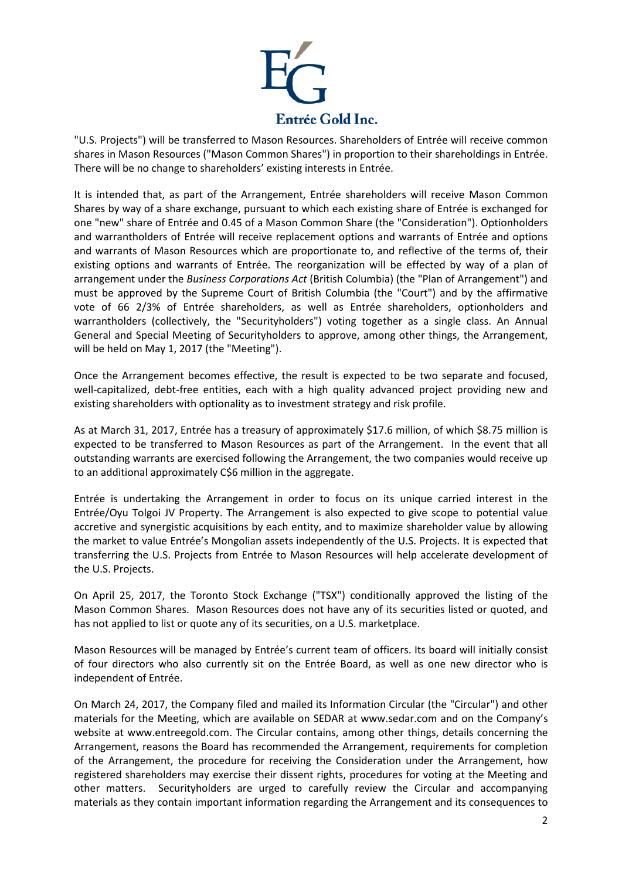

"U.S. Projects") will be transferred to Mason Resources. Shareholders of Entrée will receive common shares in Mason Resources ("Mason Common Shares") in proportion to their shareholdings in Entrée. There will be no change to shareholders' existing interests in Entrée.

It is intended that, as part of the Arrangement, Entrée shareholders will receive Mason Common Shares by way of a share exchange, pursuant to which each existing share of Entrée is exchanged for one "new" share of Entrée and 0.45 of a Mason Common Share (the "Consideration"). Optionholders and warrantholders of Entrée will receive replacement options and warrants of Entrée and options and warrants of Mason Resources which are proportionate to, and reflective of the terms of, their existing options and warrants of Entrée. The reorganization will be effected by way of a plan of arrangement under the *Business Corporations Act* (British Columbia) (the "Plan of Arrangement") and must be approved by the Supreme Court of British Columbia (the "Court") and by the affirmative vote of 66 2/3% of Entrée shareholders, as well as Entrée shareholders, optionholders and warrantholders (collectively, the "Securityholders") voting together as a single class. An Annual General and Special Meeting of Securityholders to approve, among other things, the Arrangement, will be held on May 1, 2017 (the "Meeting").

Once the Arrangement becomes effective, the result is expected to be two separate and focused, well-capitalized, debt-free entities, each with a high quality advanced project providing new and existing shareholders with optionality as to investment strategy and risk profile.

As at March 31, 2017, Entrée has a treasury of approximately \$17.6 million, of which \$8.75 million is expected to be transferred to Mason Resources as part of the Arrangement. In the event that all outstanding warrants are exercised following the Arrangement, the two companies would receive up to an additional approximately C\$6 million in the aggregate.

Entrée is undertaking the Arrangement in order to focus on its unique carried interest in the Entrée/Oyu Tolgoi JV Property. The Arrangement is also expected to give scope to potential value accretive and synergistic acquisitions by each entity, and to maximize shareholder value by allowing the market to value Entrée's Mongolian assets independently of the U.S. Projects. It is expected that transferring the U.S. Projects from Entrée to Mason Resources will help accelerate development of the U.S. Projects.

On April 25, 2017, the Toronto Stock Exchange ("TSX") conditionally approved the listing of the Mason Common Shares. Mason Resources does not have any of its securities listed or quoted, and has not applied to list or quote any of its securities, on a U.S. marketplace.

Mason Resources will be managed by Entrée's current team of officers. Its board will initially consist of four directors who also currently sit on the Entrée Board, as well as one new director who is independent of Entrée.

On March 24, 2017, the Company filed and mailed its Information Circular (the "Circular") and other materials for the Meeting, which are available on SEDAR at [www.sedar.com](http://www.sedar.com/) and on the Company's website at [www.entreegold.com.](http://www.entreegold.com/) The Circular contains, among other things, details concerning the Arrangement, reasons the Board has recommended the Arrangement, requirements for completion of the Arrangement, the procedure for receiving the Consideration under the Arrangement, how registered shareholders may exercise their dissent rights, procedures for voting at the Meeting and other matters. Securityholders are urged to carefully review the Circular and accompanying materials as they contain important information regarding the Arrangement and its consequences to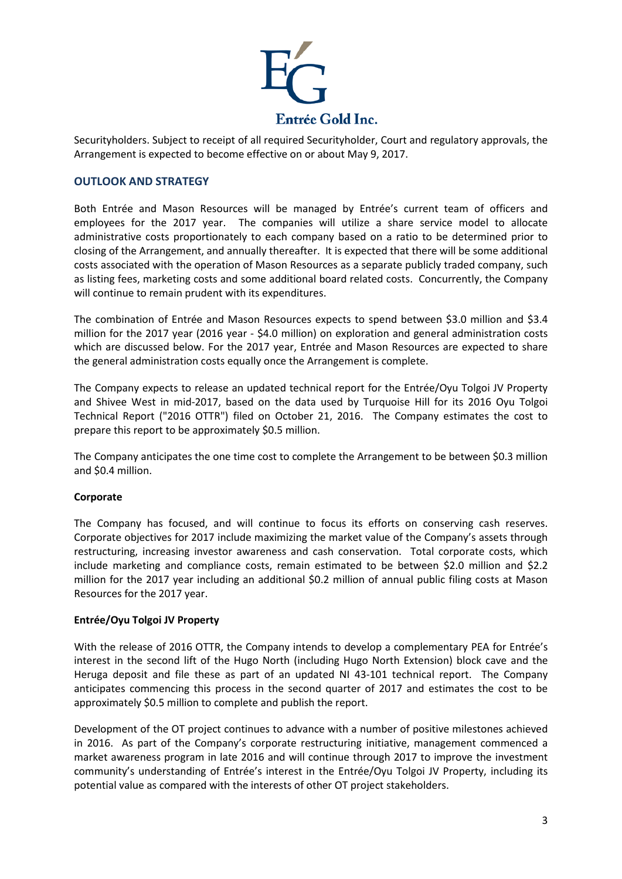

Securityholders. Subject to receipt of all required Securityholder, Court and regulatory approvals, the Arrangement is expected to become effective on or about May 9, 2017.

### **OUTLOOK AND STRATEGY**

Both Entrée and Mason Resources will be managed by Entrée's current team of officers and employees for the 2017 year. The companies will utilize a share service model to allocate administrative costs proportionately to each company based on a ratio to be determined prior to closing of the Arrangement, and annually thereafter. It is expected that there will be some additional costs associated with the operation of Mason Resources as a separate publicly traded company, such as listing fees, marketing costs and some additional board related costs. Concurrently, the Company will continue to remain prudent with its expenditures.

The combination of Entrée and Mason Resources expects to spend between \$3.0 million and \$3.4 million for the 2017 year (2016 year - \$4.0 million) on exploration and general administration costs which are discussed below. For the 2017 year, Entrée and Mason Resources are expected to share the general administration costs equally once the Arrangement is complete.

The Company expects to release an updated technical report for the Entrée/Oyu Tolgoi JV Property and Shivee West in mid-2017, based on the data used by Turquoise Hill for its 2016 Oyu Tolgoi Technical Report ("2016 OTTR") filed on October 21, 2016. The Company estimates the cost to prepare this report to be approximately \$0.5 million.

The Company anticipates the one time cost to complete the Arrangement to be between \$0.3 million and \$0.4 million.

#### **Corporate**

The Company has focused, and will continue to focus its efforts on conserving cash reserves. Corporate objectives for 2017 include maximizing the market value of the Company's assets through restructuring, increasing investor awareness and cash conservation. Total corporate costs, which include marketing and compliance costs, remain estimated to be between \$2.0 million and \$2.2 million for the 2017 year including an additional \$0.2 million of annual public filing costs at Mason Resources for the 2017 year.

#### **Entrée/Oyu Tolgoi JV Property**

With the release of 2016 OTTR, the Company intends to develop a complementary PEA for Entrée's interest in the second lift of the Hugo North (including Hugo North Extension) block cave and the Heruga deposit and file these as part of an updated NI 43-101 technical report. The Company anticipates commencing this process in the second quarter of 2017 and estimates the cost to be approximately \$0.5 million to complete and publish the report.

Development of the OT project continues to advance with a number of positive milestones achieved in 2016. As part of the Company's corporate restructuring initiative, management commenced a market awareness program in late 2016 and will continue through 2017 to improve the investment community's understanding of Entrée's interest in the Entrée/Oyu Tolgoi JV Property, including its potential value as compared with the interests of other OT project stakeholders.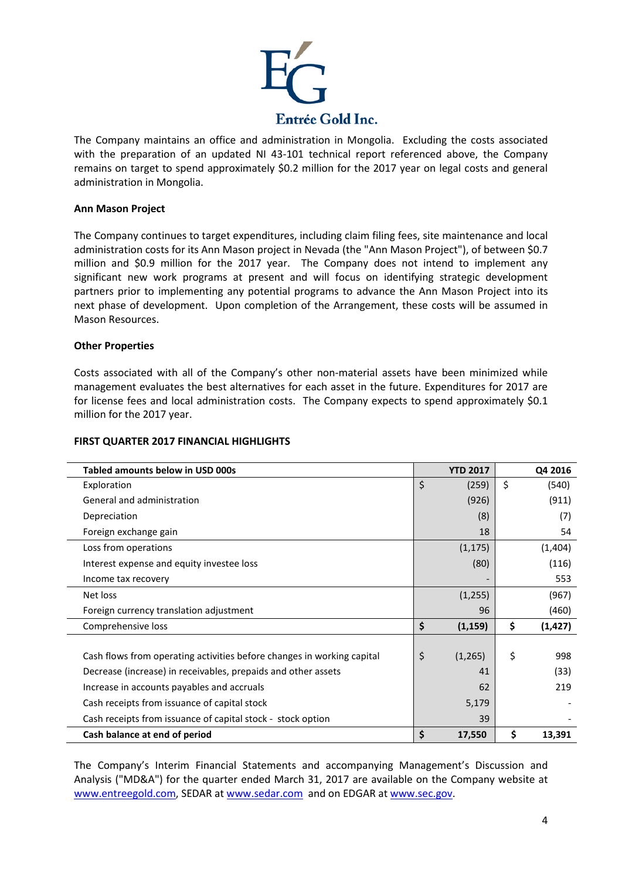

The Company maintains an office and administration in Mongolia. Excluding the costs associated with the preparation of an updated NI 43-101 technical report referenced above, the Company remains on target to spend approximately \$0.2 million for the 2017 year on legal costs and general administration in Mongolia.

### **Ann Mason Project**

The Company continues to target expenditures, including claim filing fees, site maintenance and local administration costs for its Ann Mason project in Nevada (the "Ann Mason Project"), of between \$0.7 million and \$0.9 million for the 2017 year. The Company does not intend to implement any significant new work programs at present and will focus on identifying strategic development partners prior to implementing any potential programs to advance the Ann Mason Project into its next phase of development. Upon completion of the Arrangement, these costs will be assumed in Mason Resources.

## **Other Properties**

Costs associated with all of the Company's other non-material assets have been minimized while management evaluates the best alternatives for each asset in the future. Expenditures for 2017 are for license fees and local administration costs. The Company expects to spend approximately \$0.1 million for the 2017 year.

| Tabled amounts below in USD 000s                                       | <b>YTD 2017</b> | Q4 2016        |
|------------------------------------------------------------------------|-----------------|----------------|
| Exploration                                                            | \$<br>(259)     | \$<br>(540)    |
| General and administration                                             | (926)           | (911)          |
| Depreciation                                                           | (8)             | (7)            |
| Foreign exchange gain                                                  | 18              | 54             |
| Loss from operations                                                   | (1, 175)        | (1,404)        |
| Interest expense and equity investee loss                              | (80)            | (116)          |
| Income tax recovery                                                    |                 | 553            |
| Net loss                                                               | (1,255)         | (967)          |
| Foreign currency translation adjustment                                | 96              | (460)          |
| Comprehensive loss                                                     | \$<br>(1, 159)  | \$<br>(1, 427) |
|                                                                        |                 |                |
| Cash flows from operating activities before changes in working capital | \$<br>(1,265)   | \$<br>998      |
| Decrease (increase) in receivables, prepaids and other assets          | 41              | (33)           |
| Increase in accounts payables and accruals                             | 62              | 219            |
| Cash receipts from issuance of capital stock                           | 5,179           |                |
| Cash receipts from issuance of capital stock - stock option            | 39              |                |
| Cash balance at end of period                                          | \$<br>17,550    | \$<br>13,391   |

The Company's Interim Financial Statements and accompanying Management's Discussion and Analysis ("MD&A") for the quarter ended March 31, 2017 are available on the Company website at [www.entreegold.com,](http://www.entreegold.com/) SEDAR at [www.sedar.com](http://www.sedar.com/) and on EDGAR a[t www.sec.gov.](http://www.sec.gov/)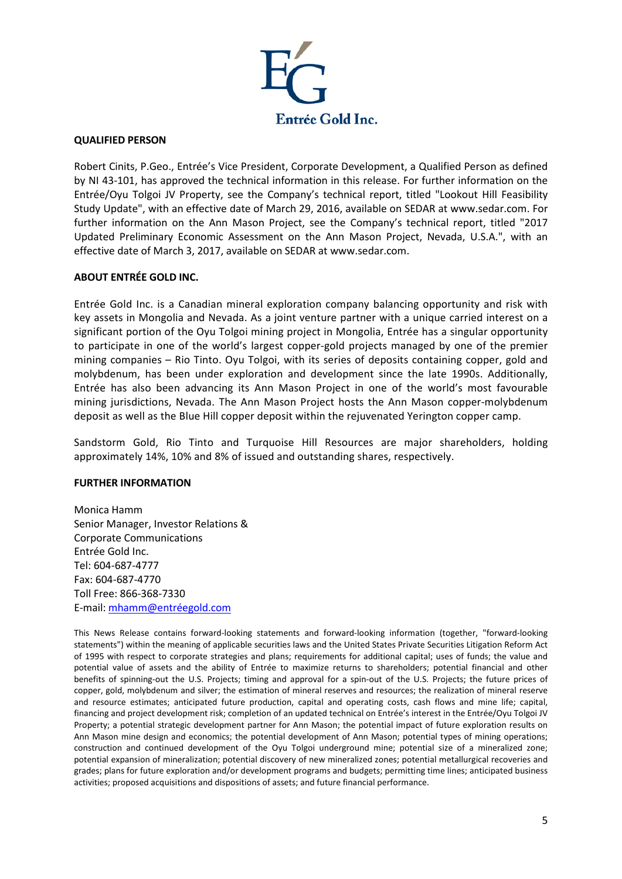

#### **QUALIFIED PERSON**

Robert Cinits, P.Geo., Entrée's Vice President, Corporate Development, a Qualified Person as defined by NI 43-101, has approved the technical information in this release. For further information on the Entrée/Oyu Tolgoi JV Property, see the Company's technical report, titled "Lookout Hill Feasibility Study Update", with an effective date of March 29, 2016, available on SEDAR at [www.sedar.com.](http://www.sedar.com/) For further information on the Ann Mason Project, see the Company's technical report, titled "2017 Updated Preliminary Economic Assessment on the Ann Mason Project, Nevada, U.S.A.", with an effective date of March 3, 2017, available on SEDAR at [www.sedar.com.](http://www.sedar.com/)

#### **ABOUT ENTRÉE GOLD INC.**

Entrée Gold Inc. is a Canadian mineral exploration company balancing opportunity and risk with key assets in Mongolia and Nevada. As a joint venture partner with a unique carried interest on a significant portion of the Oyu Tolgoi mining project in Mongolia, Entrée has a singular opportunity to participate in one of the world's largest copper-gold projects managed by one of the premier mining companies – Rio Tinto. Oyu Tolgoi, with its series of deposits containing copper, gold and molybdenum, has been under exploration and development since the late 1990s. Additionally, Entrée has also been advancing its Ann Mason Project in one of the world's most favourable mining jurisdictions, Nevada. The Ann Mason Project hosts the Ann Mason copper-molybdenum deposit as well as the Blue Hill copper deposit within the rejuvenated Yerington copper camp.

Sandstorm Gold, Rio Tinto and Turquoise Hill Resources are major shareholders, holding approximately 14%, 10% and 8% of issued and outstanding shares, respectively.

#### **FURTHER INFORMATION**

Monica Hamm Senior Manager, Investor Relations & Corporate Communications Entrée Gold Inc. Tel: 604-687-4777 Fax: 604-687-4770 Toll Free: 866-368-7330 E-mail: [mhamm@entréegold.com](mailto:mhamm@entr%C3%A9egold.com)

This News Release contains forward-looking statements and forward-looking information (together, "forward-looking statements") within the meaning of applicable securities laws and the United States Private Securities Litigation Reform Act of 1995 with respect to corporate strategies and plans; requirements for additional capital; uses of funds; the value and potential value of assets and the ability of Entrée to maximize returns to shareholders; potential financial and other benefits of spinning-out the U.S. Projects; timing and approval for a spin-out of the U.S. Projects; the future prices of copper, gold, molybdenum and silver; the estimation of mineral reserves and resources; the realization of mineral reserve and resource estimates; anticipated future production, capital and operating costs, cash flows and mine life; capital, financing and project development risk; completion of an updated technical on Entrée's interest in the Entrée/Oyu Tolgoi JV Property; a potential strategic development partner for Ann Mason; the potential impact of future exploration results on Ann Mason mine design and economics; the potential development of Ann Mason; potential types of mining operations; construction and continued development of the Oyu Tolgoi underground mine; potential size of a mineralized zone; potential expansion of mineralization; potential discovery of new mineralized zones; potential metallurgical recoveries and grades; plans for future exploration and/or development programs and budgets; permitting time lines; anticipated business activities; proposed acquisitions and dispositions of assets; and future financial performance.